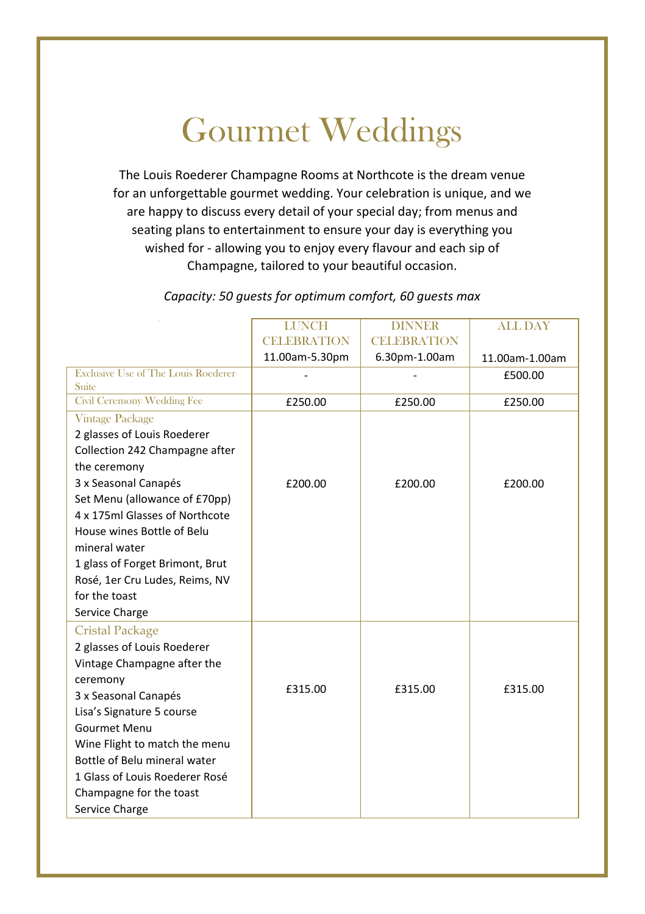## Gourmet Weddings

The Louis Roederer Champagne Rooms at Northcote is the dream venue for an unforgettable gourmet wedding. Your celebration is unique, and we are happy to discuss every detail of your special day; from menus and seating plans to entertainment to ensure your day is everything you wished for - allowing you to enjoy every flavour and each sip of Champagne, tailored to your beautiful occasion.

|                                            | <b>LUNCH</b>       | <b>DINNER</b>      | <b>ALL DAY</b> |
|--------------------------------------------|--------------------|--------------------|----------------|
|                                            | <b>CELEBRATION</b> | <b>CELEBRATION</b> |                |
|                                            | 11.00am-5.30pm     | 6.30pm-1.00am      | 11.00am-1.00am |
| <b>Exclusive Use of The Louis Roederer</b> |                    |                    | £500.00        |
| Suite                                      |                    |                    |                |
| <b>Civil Ceremony Wedding Fee</b>          | £250.00            | £250.00            | £250.00        |
| <b>Vintage Package</b>                     |                    |                    |                |
| 2 glasses of Louis Roederer                |                    |                    |                |
| Collection 242 Champagne after             |                    |                    |                |
| the ceremony                               |                    |                    |                |
| 3 x Seasonal Canapés                       | £200.00            | £200.00            | £200.00        |
| Set Menu (allowance of £70pp)              |                    |                    |                |
| 4 x 175ml Glasses of Northcote             |                    |                    |                |
| House wines Bottle of Belu                 |                    |                    |                |
| mineral water                              |                    |                    |                |
| 1 glass of Forget Brimont, Brut            |                    |                    |                |
| Rosé, 1er Cru Ludes, Reims, NV             |                    |                    |                |
| for the toast                              |                    |                    |                |
| Service Charge                             |                    |                    |                |
| <b>Cristal Package</b>                     |                    |                    |                |
| 2 glasses of Louis Roederer                |                    |                    |                |
| Vintage Champagne after the                |                    |                    |                |
| ceremony                                   |                    |                    |                |
| 3 x Seasonal Canapés                       | £315.00            | £315.00            | £315.00        |
| Lisa's Signature 5 course                  |                    |                    |                |
| Gourmet Menu                               |                    |                    |                |
| Wine Flight to match the menu              |                    |                    |                |
| Bottle of Belu mineral water               |                    |                    |                |
| 1 Glass of Louis Roederer Rosé             |                    |                    |                |
| Champagne for the toast                    |                    |                    |                |
| Service Charge                             |                    |                    |                |

*Capacity: 50 guests for optimum comfort, 60 guests max*